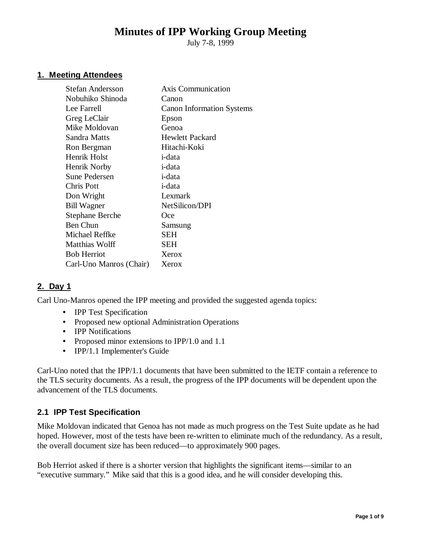# **Minutes of IPP Working Group Meeting**

July 7-8, 1999

## **1. Meeting Attendees**

| <b>Stefan Andersson</b> | <b>Axis Communication</b>        |
|-------------------------|----------------------------------|
| Nobuhiko Shinoda        | Canon                            |
| Lee Farrell             | <b>Canon Information Systems</b> |
| Greg LeClair            | Epson                            |
| Mike Moldovan           | Genoa                            |
| Sandra Matts            | <b>Hewlett Packard</b>           |
| Ron Bergman             | Hitachi-Koki                     |
| Henrik Holst            | i-data                           |
| Henrik Norby            | i-data                           |
| <b>Sune Pedersen</b>    | i-data                           |
| Chris Pott              | i-data                           |
| Don Wright              | Lexmark                          |
| <b>Bill Wagner</b>      | NetSilicon/DPI                   |
| <b>Stephane Berche</b>  | Oce                              |
| <b>Ben Chun</b>         | Samsung                          |
| Michael Reffke          | SEH                              |
| Matthias Wolff          | SEH                              |
| <b>Bob Herriot</b>      | Xerox                            |
| Carl-Uno Manros (Chair) | Xerox                            |
|                         |                                  |

# **2. Day 1**

Carl Uno-Manros opened the IPP meeting and provided the suggested agenda topics:

- IPP Test Specification
- Proposed new optional Administration Operations
- **IPP Notifications**
- Proposed minor extensions to IPP/1.0 and 1.1
- IPP/1.1 Implementer's Guide

Carl-Uno noted that the IPP/1.1 documents that have been submitted to the IETF contain a reference to the TLS security documents. As a result, the progress of the IPP documents will be dependent upon the advancement of the TLS documents.

#### **2.1 IPP Test Specification**

Mike Moldovan indicated that Genoa has not made as much progress on the Test Suite update as he had hoped. However, most of the tests have been re-written to eliminate much of the redundancy. As a result, the overall document size has been reduced— to approximately 900 pages.

Bob Herriot asked if there is a shorter version that highlights the significant items— similar to an "executive summary." Mike said that this is a good idea, and he will consider developing this.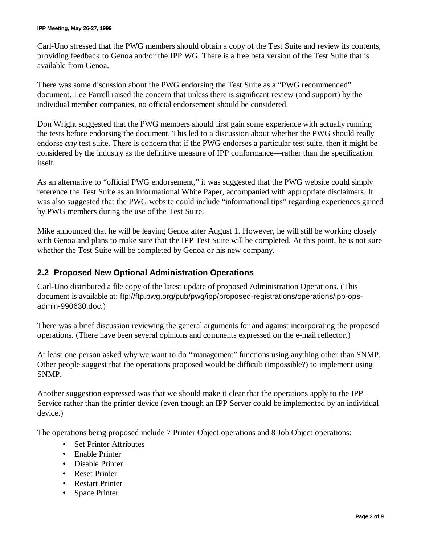Carl-Uno stressed that the PWG members should obtain a copy of the Test Suite and review its contents, providing feedback to Genoa and/or the IPP WG. There is a free beta version of the Test Suite that is available from Genoa.

There was some discussion about the PWG endorsing the Test Suite as a "PWG recommended" document. Lee Farrell raised the concern that unless there is significant review (and support) by the individual member companies, no official endorsement should be considered.

Don Wright suggested that the PWG members should first gain some experience with actually running the tests before endorsing the document. This led to a discussion about whether the PWG should really endorse *any* test suite. There is concern that if the PWG endorses a particular test suite, then it might be considered by the industry as the definitive measure of IPP conformance— rather than the specification itself.

As an alternative to "official PWG endorsement," it was suggested that the PWG website could simply reference the Test Suite as an informational White Paper, accompanied with appropriate disclaimers. It was also suggested that the PWG website could include "informational tips" regarding experiences gained by PWG members during the use of the Test Suite.

Mike announced that he will be leaving Genoa after August 1. However, he will still be working closely with Genoa and plans to make sure that the IPP Test Suite will be completed. At this point, he is not sure whether the Test Suite will be completed by Genoa or his new company.

## **2.2 Proposed New Optional Administration Operations**

Carl-Uno distributed a file copy of the latest update of proposed Administration Operations. (This document is available at: ftp://ftp.pwg.org/pub/pwg/ipp/proposed-registrations/operations/ipp-opsadmin-990630.doc.)

There was a brief discussion reviewing the general arguments for and against incorporating the proposed operations. (There have been several opinions and comments expressed on the e-mail reflector.)

At least one person asked why we want to do "management" functions using anything other than SNMP. Other people suggest that the operations proposed would be difficult (impossible?) to implement using SNMP.

Another suggestion expressed was that we should make it clear that the operations apply to the IPP Service rather than the printer device (even though an IPP Server could be implemented by an individual device.)

The operations being proposed include 7 Printer Object operations and 8 Job Object operations:

- Set Printer Attributes
- Enable Printer
- Disable Printer
- Reset Printer
- Restart Printer
- Space Printer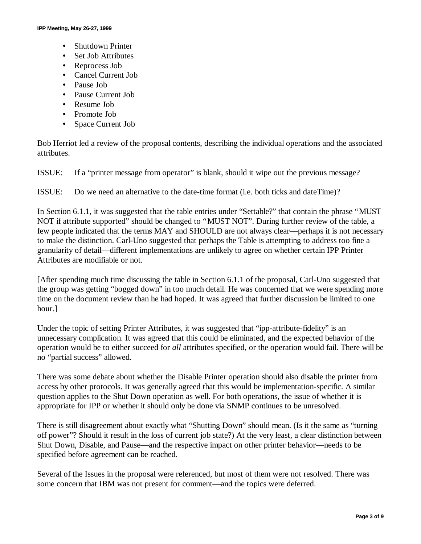- Shutdown Printer
- Set Job Attributes
- Reprocess Job
- Cancel Current Job
- Pause Job
- Pause Current Job
- Resume Job
- Promote Job
- Space Current Job

Bob Herriot led a review of the proposal contents, describing the individual operations and the associated attributes.

ISSUE: If a "printer message from operator" is blank, should it wipe out the previous message?

ISSUE: Do we need an alternative to the date-time format (i.e. both ticks and dateTime)?

In Section 6.1.1, it was suggested that the table entries under "Settable?" that contain the phrase "MUST NOT if attribute supported" should be changed to "MUST NOT". During further review of the table, a few people indicated that the terms MAY and SHOULD are not always clear— perhaps it is not necessary to make the distinction. Carl-Uno suggested that perhaps the Table is attempting to address too fine a granularity of detail— different implementations are unlikely to agree on whether certain IPP Printer Attributes are modifiable or not.

[After spending much time discussing the table in Section 6.1.1 of the proposal, Carl-Uno suggested that the group was getting "bogged down" in too much detail. He was concerned that we were spending more time on the document review than he had hoped. It was agreed that further discussion be limited to one hour.]

Under the topic of setting Printer Attributes, it was suggested that "ipp-attribute-fidelity" is an unnecessary complication. It was agreed that this could be eliminated, and the expected behavior of the operation would be to either succeed for *all* attributes specified, or the operation would fail. There will be no "partial success" allowed.

There was some debate about whether the Disable Printer operation should also disable the printer from access by other protocols. It was generally agreed that this would be implementation-specific. A similar question applies to the Shut Down operation as well. For both operations, the issue of whether it is appropriate for IPP or whether it should only be done via SNMP continues to be unresolved.

There is still disagreement about exactly what "Shutting Down" should mean. (Is it the same as "turning off power"? Should it result in the loss of current job state?) At the very least, a clear distinction between Shut Down, Disable, and Pause— and the respective impact on other printer behavior— needs to be specified before agreement can be reached.

Several of the Issues in the proposal were referenced, but most of them were not resolved. There was some concern that IBM was not present for comment— and the topics were deferred.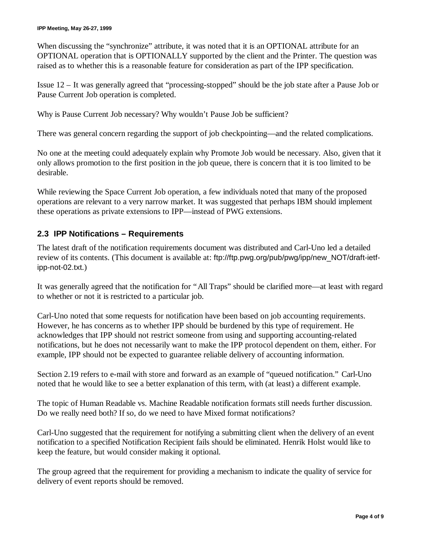When discussing the "synchronize" attribute, it was noted that it is an OPTIONAL attribute for an OPTIONAL operation that is OPTIONALLY supported by the client and the Printer. The question was raised as to whether this is a reasonable feature for consideration as part of the IPP specification.

Issue 12 – It was generally agreed that "processing-stopped" should be the job state after a Pause Job or Pause Current Job operation is completed.

Why is Pause Current Job necessary? Why wouldn't Pause Job be sufficient?

There was general concern regarding the support of job checkpointing— and the related complications.

No one at the meeting could adequately explain why Promote Job would be necessary. Also, given that it only allows promotion to the first position in the job queue, there is concern that it is too limited to be desirable.

While reviewing the Space Current Job operation, a few individuals noted that many of the proposed operations are relevant to a very narrow market. It was suggested that perhaps IBM should implement these operations as private extensions to IPP— instead of PWG extensions.

### **2.3 IPP Notifications – Requirements**

The latest draft of the notification requirements document was distributed and Carl-Uno led a detailed review of its contents. (This document is available at: ftp://ftp.pwg.org/pub/pwg/ipp/new\_NOT/draft-ietfipp-not-02.txt.)

It was generally agreed that the notification for "All Traps" should be clarified more— at least with regard to whether or not it is restricted to a particular job.

Carl-Uno noted that some requests for notification have been based on job accounting requirements. However, he has concerns as to whether IPP should be burdened by this type of requirement. He acknowledges that IPP should not restrict someone from using and supporting accounting-related notifications, but he does not necessarily want to make the IPP protocol dependent on them, either. For example, IPP should not be expected to guarantee reliable delivery of accounting information.

Section 2.19 refers to e-mail with store and forward as an example of "queued notification." Carl-Uno noted that he would like to see a better explanation of this term, with (at least) a different example.

The topic of Human Readable vs. Machine Readable notification formats still needs further discussion. Do we really need both? If so, do we need to have Mixed format notifications?

Carl-Uno suggested that the requirement for notifying a submitting client when the delivery of an event notification to a specified Notification Recipient fails should be eliminated. Henrik Holst would like to keep the feature, but would consider making it optional.

The group agreed that the requirement for providing a mechanism to indicate the quality of service for delivery of event reports should be removed.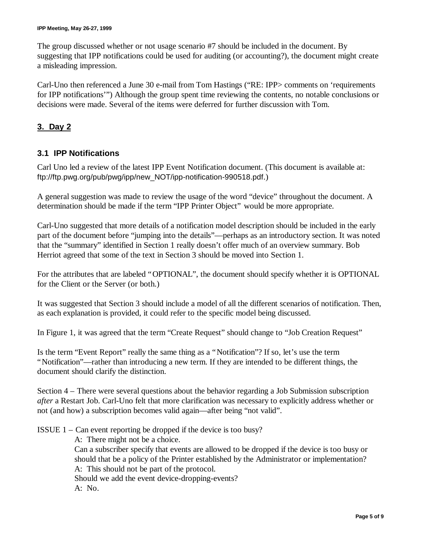The group discussed whether or not usage scenario #7 should be included in the document. By suggesting that IPP notifications could be used for auditing (or accounting?), the document might create a misleading impression.

Carl-Uno then referenced a June 30 e-mail from Tom Hastings ("RE: IPP> comments on 'requirements for IPP notifications'") Although the group spent time reviewing the contents, no notable conclusions or decisions were made. Several of the items were deferred for further discussion with Tom.

# **3. Day 2**

# **3.1 IPP Notifications**

Carl Uno led a review of the latest IPP Event Notification document. (This document is available at: ftp://ftp.pwg.org/pub/pwg/ipp/new\_NOT/ipp-notification-990518.pdf.)

A general suggestion was made to review the usage of the word "device" throughout the document. A determination should be made if the term "IPP Printer Object" would be more appropriate.

Carl-Uno suggested that more details of a notification model description should be included in the early part of the document before "jumping into the details"— perhaps as an introductory section. It was noted that the "summary" identified in Section 1 really doesn't offer much of an overview summary. Bob Herriot agreed that some of the text in Section 3 should be moved into Section 1.

For the attributes that are labeled "OPTIONAL", the document should specify whether it is OPTIONAL for the Client or the Server (or both.)

It was suggested that Section 3 should include a model of all the different scenarios of notification. Then, as each explanation is provided, it could refer to the specific model being discussed.

In Figure 1, it was agreed that the term "Create Request" should change to "Job Creation Request"

Is the term "Event Report" really the same thing as a "Notification"? If so, let's use the term "Notification"— rather than introducing a new term. If they are intended to be different things, the document should clarify the distinction.

Section 4 – There were several questions about the behavior regarding a Job Submission subscription *after* a Restart Job. Carl-Uno felt that more clarification was necessary to explicitly address whether or not (and how) a subscription becomes valid again— after being "not valid".

ISSUE 1 – Can event reporting be dropped if the device is too busy?

A: There might not be a choice. Can a subscriber specify that events are allowed to be dropped if the device is too busy or should that be a policy of the Printer established by the Administrator or implementation? A: This should not be part of the protocol. Should we add the event device-dropping-events? A: No.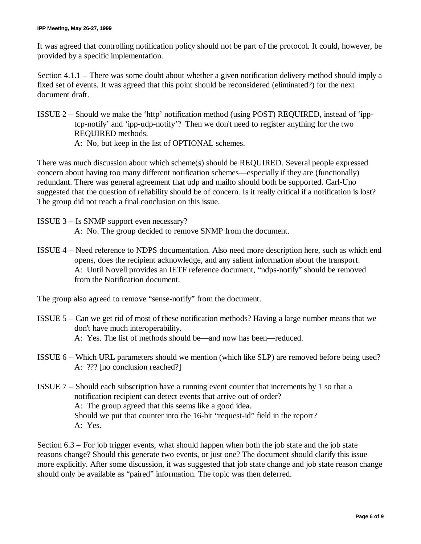It was agreed that controlling notification policy should not be part of the protocol. It could, however, be provided by a specific implementation.

Section 4.1.1 – There was some doubt about whether a given notification delivery method should imply a fixed set of events. It was agreed that this point should be reconsidered (eliminated?) for the next document draft.

ISSUE 2 – Should we make the 'http' notification method (using POST) REQUIRED, instead of 'ipptcp-notify' and 'ipp-udp-notify'? Then we don't need to register anything for the two REQUIRED methods. A: No, but keep in the list of OPTIONAL schemes.

There was much discussion about which scheme(s) should be REQUIRED. Several people expressed concern about having too many different notification schemes— especially if they are (functionally) redundant. There was general agreement that udp and mailto should both be supported. Carl-Uno suggested that the question of reliability should be of concern. Is it really critical if a notification is lost? The group did not reach a final conclusion on this issue.

- ISSUE 3 Is SNMP support even necessary? A: No. The group decided to remove SNMP from the document.
- ISSUE 4 Need reference to NDPS documentation. Also need more description here, such as which end opens, does the recipient acknowledge, and any salient information about the transport. A: Until Novell provides an IETF reference document, "ndps-notify" should be removed from the Notification document.

The group also agreed to remove "sense-notify" from the document.

- ISSUE 5 Can we get rid of most of these notification methods? Having a large number means that we don't have much interoperability. A: Yes. The list of methods should be— and now has been— reduced.
- ISSUE 6 Which URL parameters should we mention (which like SLP) are removed before being used? A: ??? [no conclusion reached?]
- ISSUE 7 Should each subscription have a running event counter that increments by 1 so that a notification recipient can detect events that arrive out of order? A: The group agreed that this seems like a good idea. Should we put that counter into the 16-bit "request-id" field in the report? A: Yes.

Section 6.3 – For job trigger events, what should happen when both the job state and the job state reasons change? Should this generate two events, or just one? The document should clarify this issue more explicitly. After some discussion, it was suggested that job state change and job state reason change should only be available as "paired" information. The topic was then deferred.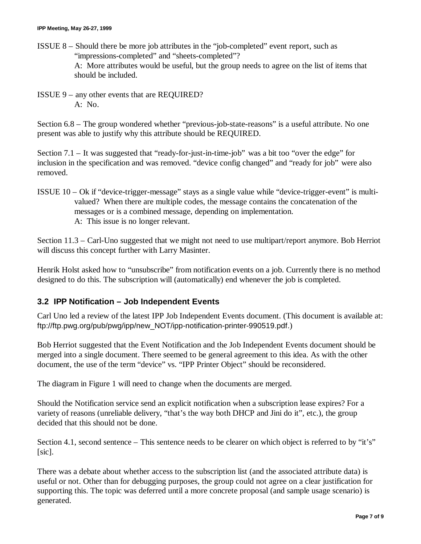- ISSUE 8 Should there be more job attributes in the "job-completed" event report, such as "impressions-completed" and "sheets-completed"? A: More attributes would be useful, but the group needs to agree on the list of items that should be included.
- ISSUE 9 any other events that are REQUIRED? A: No.

Section 6.8 – The group wondered whether "previous-job-state-reasons" is a useful attribute. No one present was able to justify why this attribute should be REQUIRED.

Section 7.1 – It was suggested that "ready-for-just-in-time-job" was a bit too "over the edge" for inclusion in the specification and was removed. "device config changed" and "ready for job" were also removed.

ISSUE 10 – Ok if "device-trigger-message" stays as a single value while "device-trigger-event" is multivalued? When there are multiple codes, the message contains the concatenation of the messages or is a combined message, depending on implementation. A: This issue is no longer relevant.

Section 11.3 – Carl-Uno suggested that we might not need to use multipart/report anymore. Bob Herriot will discuss this concept further with Larry Masinter.

Henrik Holst asked how to "unsubscribe" from notification events on a job. Currently there is no method designed to do this. The subscription will (automatically) end whenever the job is completed.

# **3.2 IPP Notification – Job Independent Events**

Carl Uno led a review of the latest IPP Job Independent Events document. (This document is available at: ftp://ftp.pwg.org/pub/pwg/ipp/new\_NOT/ipp-notification-printer-990519.pdf.)

Bob Herriot suggested that the Event Notification and the Job Independent Events document should be merged into a single document. There seemed to be general agreement to this idea. As with the other document, the use of the term "device" vs. "IPP Printer Object" should be reconsidered.

The diagram in Figure 1 will need to change when the documents are merged.

Should the Notification service send an explicit notification when a subscription lease expires? For a variety of reasons (unreliable delivery, "that's the way both DHCP and Jini do it", etc.), the group decided that this should not be done.

Section 4.1, second sentence – This sentence needs to be clearer on which object is referred to by "it's" [sic].

There was a debate about whether access to the subscription list (and the associated attribute data) is useful or not. Other than for debugging purposes, the group could not agree on a clear justification for supporting this. The topic was deferred until a more concrete proposal (and sample usage scenario) is generated.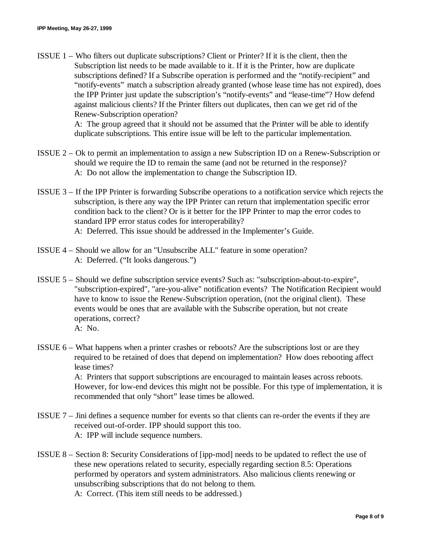ISSUE 1 – Who filters out duplicate subscriptions? Client or Printer? If it is the client, then the Subscription list needs to be made available to it. If it is the Printer, how are duplicate subscriptions defined? If a Subscribe operation is performed and the "notify-recipient" and "notify-events" match a subscription already granted (whose lease time has not expired), does the IPP Printer just update the subscription's "notify-events" and "lease-time"? How defend against malicious clients? If the Printer filters out duplicates, then can we get rid of the Renew-Subscription operation?

> A: The group agreed that it should not be assumed that the Printer will be able to identify duplicate subscriptions. This entire issue will be left to the particular implementation.

- ISSUE 2 Ok to permit an implementation to assign a new Subscription ID on a Renew-Subscription or should we require the ID to remain the same (and not be returned in the response)? A: Do not allow the implementation to change the Subscription ID.
- ISSUE 3 If the IPP Printer is forwarding Subscribe operations to a notification service which rejects the subscription, is there any way the IPP Printer can return that implementation specific error condition back to the client? Or is it better for the IPP Printer to map the error codes to standard IPP error status codes for interoperability? A: Deferred. This issue should be addressed in the Implementer's Guide.
- ISSUE 4 Should we allow for an "Unsubscribe ALL" feature in some operation? A: Deferred. ("It looks dangerous.")
- ISSUE 5 Should we define subscription service events? Such as: "subscription-about-to-expire", "subscription-expired", "are-you-alive" notification events? The Notification Recipient would have to know to issue the Renew-Subscription operation, (not the original client). These events would be ones that are available with the Subscribe operation, but not create operations, correct? A: No.
	-
- ISSUE 6 What happens when a printer crashes or reboots? Are the subscriptions lost or are they required to be retained of does that depend on implementation? How does rebooting affect lease times?

A: Printers that support subscriptions are encouraged to maintain leases across reboots. However, for low-end devices this might not be possible. For this type of implementation, it is recommended that only "short" lease times be allowed.

- ISSUE 7 Jini defines a sequence number for events so that clients can re-order the events if they are received out-of-order. IPP should support this too. A: IPP will include sequence numbers.
- ISSUE 8 Section 8: Security Considerations of [ipp-mod] needs to be updated to reflect the use of these new operations related to security, especially regarding section 8.5: Operations performed by operators and system administrators. Also malicious clients renewing or unsubscribing subscriptions that do not belong to them. A: Correct. (This item still needs to be addressed.)